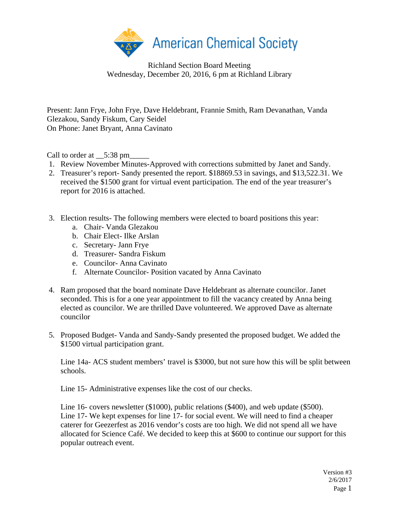

Richland Section Board Meeting Wednesday, December 20, 2016, 6 pm at Richland Library

Present: Jann Frye, John Frye, Dave Heldebrant, Frannie Smith, Ram Devanathan, Vanda Glezakou, Sandy Fiskum, Cary Seidel On Phone: Janet Bryant, Anna Cavinato

Call to order at \_\_5:38 pm\_

- 1. Review November Minutes-Approved with corrections submitted by Janet and Sandy.
- 2. Treasurer's report- Sandy presented the report. \$18869.53 in savings, and \$13,522.31. We received the \$1500 grant for virtual event participation. The end of the year treasurer's report for 2016 is attached.
- 3. Election results- The following members were elected to board positions this year:
	- a. Chair- Vanda Glezakou
	- b. Chair Elect- Ilke Arslan
	- c. Secretary- Jann Frye
	- d. Treasurer- Sandra Fiskum
	- e. Councilor- Anna Cavinato
	- f. Alternate Councilor- Position vacated by Anna Cavinato
- 4. Ram proposed that the board nominate Dave Heldebrant as alternate councilor. Janet seconded. This is for a one year appointment to fill the vacancy created by Anna being elected as councilor. We are thrilled Dave volunteered. We approved Dave as alternate councilor
- 5. Proposed Budget- Vanda and Sandy-Sandy presented the proposed budget. We added the \$1500 virtual participation grant.

Line 14a- ACS student members' travel is \$3000, but not sure how this will be split between schools.

Line 15- Administrative expenses like the cost of our checks.

Line 16- covers newsletter (\$1000), public relations (\$400), and web update (\$500). Line 17- We kept expenses for line 17- for social event. We will need to find a cheaper caterer for Geezerfest as 2016 vendor's costs are too high. We did not spend all we have allocated for Science Café. We decided to keep this at \$600 to continue our support for this popular outreach event.

> Version #3 2/6/2017 Page 1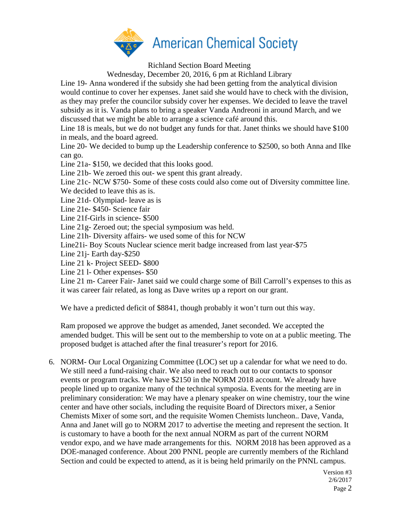

Richland Section Board Meeting

Wednesday, December 20, 2016, 6 pm at Richland Library

Line 19- Anna wondered if the subsidy she had been getting from the analytical division would continue to cover her expenses. Janet said she would have to check with the division, as they may prefer the councilor subsidy cover her expenses. We decided to leave the travel subsidy as it is. Vanda plans to bring a speaker Vanda Andreoni in around March, and we discussed that we might be able to arrange a science café around this.

Line 18 is meals, but we do not budget any funds for that. Janet thinks we should have \$100 in meals, and the board agreed.

Line 20- We decided to bump up the Leadership conference to \$2500, so both Anna and Ilke can go.

Line 21a- \$150, we decided that this looks good.

Line 21b- We zeroed this out- we spent this grant already.

Line 21c- NCW \$750- Some of these costs could also come out of Diversity committee line.

We decided to leave this as is.

Line 21d- Olympiad- leave as is

Line 21e- \$450- Science fair

Line 21f-Girls in science- \$500

Line 21g- Zeroed out; the special symposium was held.

Line 21h- Diversity affairs- we used some of this for NCW

Line21i- Boy Scouts Nuclear science merit badge increased from last year-\$75

Line 21j- Earth day-\$250

Line 21 k- Project SEED- \$800

Line 21 l- Other expenses- \$50

Line 21 m- Career Fair- Janet said we could charge some of Bill Carroll's expenses to this as it was career fair related, as long as Dave writes up a report on our grant.

We have a predicted deficit of \$8841, though probably it won't turn out this way.

Ram proposed we approve the budget as amended, Janet seconded. We accepted the amended budget. This will be sent out to the membership to vote on at a public meeting. The proposed budget is attached after the final treasurer's report for 2016.

6. NORM- Our Local Organizing Committee (LOC) set up a calendar for what we need to do. We still need a fund-raising chair. We also need to reach out to our contacts to sponsor events or program tracks. We have \$2150 in the NORM 2018 account. We already have people lined up to organize many of the technical symposia. Events for the meeting are in preliminary consideration: We may have a plenary speaker on wine chemistry, tour the wine center and have other socials, including the requisite Board of Directors mixer, a Senior Chemists Mixer of some sort, and the requisite Women Chemists luncheon.. Dave, Vanda, Anna and Janet will go to NORM 2017 to advertise the meeting and represent the section. It is customary to have a booth for the next annual NORM as part of the current NORM vendor expo, and we have made arrangements for this. NORM 2018 has been approved as a DOE-managed conference. About 200 PNNL people are currently members of the Richland Section and could be expected to attend, as it is being held primarily on the PNNL campus.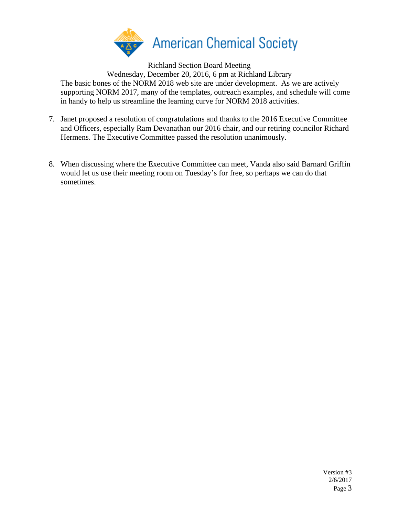

Richland Section Board Meeting

Wednesday, December 20, 2016, 6 pm at Richland Library The basic bones of the NORM 2018 web site are under development. As we are actively

supporting NORM 2017, many of the templates, outreach examples, and schedule will come in handy to help us streamline the learning curve for NORM 2018 activities.

- 7. Janet proposed a resolution of congratulations and thanks to the 2016 Executive Committee and Officers, especially Ram Devanathan our 2016 chair, and our retiring councilor Richard Hermens. The Executive Committee passed the resolution unanimously.
- 8. When discussing where the Executive Committee can meet, Vanda also said Barnard Griffin would let us use their meeting room on Tuesday's for free, so perhaps we can do that sometimes.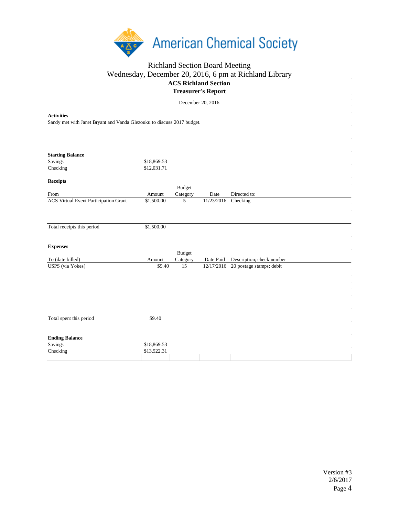

## Richland Section Board Meeting Wednesday, December 20, 2016, 6 pm at Richland Library **ACS Richland Section Treasurer's Report**

December 20, 2016

| <b>Activities</b><br>Sandy met with Janet Bryant and Vanda Glezouku to discuss 2017 budget. |                            |                                                              |                             |                                     |  |  |  |
|---------------------------------------------------------------------------------------------|----------------------------|--------------------------------------------------------------|-----------------------------|-------------------------------------|--|--|--|
| <b>Starting Balance</b><br>Savings<br>Checking                                              | \$18,869.53<br>\$12,031.71 |                                                              |                             |                                     |  |  |  |
| <b>Receipts</b>                                                                             |                            |                                                              |                             |                                     |  |  |  |
|                                                                                             |                            | <b>Budget</b>                                                |                             |                                     |  |  |  |
| From<br><b>ACS Virtual Event Participation Grant</b>                                        | Amount<br>\$1,500.00       | Category<br>5                                                | Date<br>11/23/2016 Checking | Directed to:                        |  |  |  |
|                                                                                             |                            |                                                              |                             |                                     |  |  |  |
| Total receipts this period                                                                  | \$1,500.00                 |                                                              |                             |                                     |  |  |  |
| <b>Expenses</b><br>To (date billed)                                                         | Amount                     | $\mathbf{B} \mathbf{u} \mathbf{d} \mathbf{g}$ et<br>Category | Date Paid                   | Description; check number           |  |  |  |
| USPS (via Yokes)                                                                            | \$9.40                     | 15                                                           |                             | 12/17/2016 20 postage stamps; debit |  |  |  |
|                                                                                             |                            |                                                              |                             |                                     |  |  |  |
| Total spent this period                                                                     | \$9.40                     |                                                              |                             |                                     |  |  |  |
| <b>Ending Balance</b>                                                                       |                            |                                                              |                             |                                     |  |  |  |
| Savings                                                                                     | \$18,869.53                |                                                              |                             |                                     |  |  |  |
| Checking                                                                                    | \$13,522.31                |                                                              |                             |                                     |  |  |  |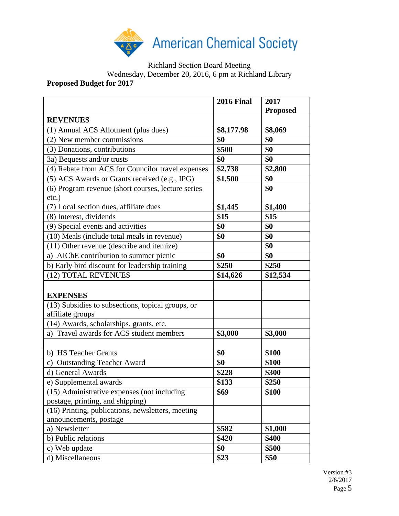

Richland Section Board Meeting

Wednesday, December 20, 2016, 6 pm at Richland Library

## **Proposed Budget for 2017**

|                                                                | <b>2016 Final</b> | 2017<br><b>Proposed</b> |
|----------------------------------------------------------------|-------------------|-------------------------|
| <b>REVENUES</b>                                                |                   |                         |
| (1) Annual ACS Allotment (plus dues)                           | \$8,177.98        | \$8,069                 |
| (2) New member commissions                                     | \$0               | \$0                     |
| (3) Donations, contributions                                   | \$500             | \$0                     |
| 3a) Bequests and/or trusts                                     | \$0               | \$0                     |
| (4) Rebate from ACS for Councilor travel expenses              | \$2,738           | \$2,800                 |
| (5) ACS Awards or Grants received (e.g., IPG)                  | \$1,500           | \$0                     |
| (6) Program revenue (short courses, lecture series<br>$etc.$ ) |                   | \$0                     |
| (7) Local section dues, affiliate dues                         | \$1,445           | \$1,400                 |
| (8) Interest, dividends                                        | \$15              | \$15                    |
| (9) Special events and activities                              | \$0               | \$0                     |
| (10) Meals (include total meals in revenue)                    | \$0               | \$0                     |
| (11) Other revenue (describe and itemize)                      |                   | \$0                     |
| a) AIChE contribution to summer picnic                         | \$0               | \$0                     |
| b) Early bird discount for leadership training                 | \$250             | \$250                   |
| (12) TOTAL REVENUES                                            | \$14,626          | \$12,534                |
|                                                                |                   |                         |
| <b>EXPENSES</b>                                                |                   |                         |
| (13) Subsidies to subsections, topical groups, or              |                   |                         |
| affiliate groups                                               |                   |                         |
| (14) Awards, scholarships, grants, etc.                        |                   |                         |
| a) Travel awards for ACS student members                       | \$3,000           | \$3,000                 |
|                                                                |                   |                         |
| b) HS Teacher Grants                                           | \$0               | \$100                   |
| <b>Outstanding Teacher Award</b><br>$\mathbf{c})$              | \$0               | \$100                   |
| d) General Awards                                              | \$228             | \$300                   |
| e) Supplemental awards                                         | \$133             | \$250                   |
| (15) Administrative expenses (not including                    | \$69              | \$100                   |
| postage, printing, and shipping)                               |                   |                         |
| (16) Printing, publications, newsletters, meeting              |                   |                         |
| announcements, postage                                         |                   |                         |
| a) Newsletter                                                  | \$582             | \$1,000                 |
| b) Public relations                                            | \$420             | \$400                   |
| c) Web update                                                  | \$0               | \$500                   |
| d) Miscellaneous                                               | \$23              | \$50                    |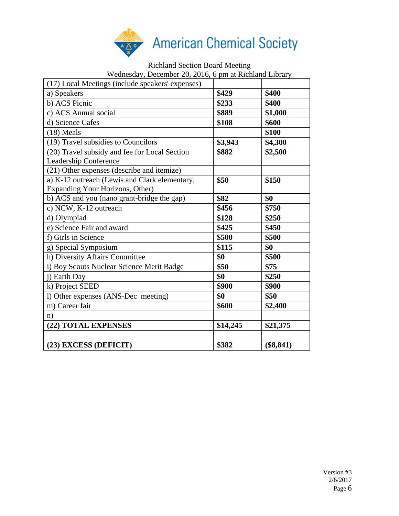

## Richland Section Board Meeting Wednesday, December 20, 2016, 6 pm at Richland Library

| (17) Local Meetings (include speakers' expenses)                                 |          |           |
|----------------------------------------------------------------------------------|----------|-----------|
| a) Speakers                                                                      | \$429    | \$400     |
| b) ACS Picnic                                                                    | \$233    | \$400     |
| c) ACS Annual social                                                             | \$889    | \$1,000   |
| d) Science Cafes                                                                 | \$108    | \$600     |
| $(18)$ Meals                                                                     |          | \$100     |
| (19) Travel subsidies to Councilors                                              | \$3,943  | \$4,300   |
| (20) Travel subsidy and fee for Local Section<br>Leadership Conference           | \$882    | \$2,500   |
| (21) Other expenses (describe and itemize)                                       |          |           |
| a) K-12 outreach (Lewis and Clark elementary,<br>Expanding Your Horizons, Other) | \$50     | \$150     |
| b) ACS and you (nano grant-bridge the gap)                                       | \$82     | \$0       |
| c) NCW, K-12 outreach                                                            | \$456    | \$750     |
| d) Olympiad                                                                      | \$128    | \$250     |
| e) Science Fair and award                                                        | \$425    | \$450     |
| f) Girls in Science                                                              | \$500    | \$500     |
| g) Special Symposium                                                             | \$115    | \$0       |
| h) Diversity Affairs Committee                                                   | \$0      | \$500     |
| i) Boy Scouts Nuclear Science Merit Badge                                        | \$50     | \$75      |
| j) Earth Day                                                                     | \$0      | \$250     |
| k) Project SEED                                                                  | \$900    | \$900     |
| l) Other expenses (ANS-Dec meeting)                                              | \$0      | \$50      |
| m) Career fair                                                                   | \$600    | \$2,400   |
| n)                                                                               |          |           |
| (22) TOTAL EXPENSES                                                              | \$14,245 | \$21,375  |
|                                                                                  |          |           |
| (23) EXCESS (DEFICIT)                                                            | \$382    | (\$8,841) |